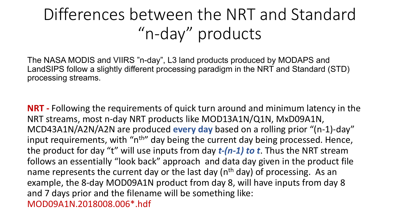## Differences between the NRT and Standard "n-day" products

The NASA MODIS and VIIRS "n-day", L3 land products produced by MODAPS and LandSIPS follow a slightly different processing paradigm in the NRT and Standard (STD) processing streams.

**NRT -** Following the requirements of quick turn around and minimum latency in the NRT streams, most n-day NRT products like MOD13A1N/Q1N, MxD09A1N, MCD43A1N/A2N/A2N are produced **every day** based on a rolling prior "(n-1)-day" input requirements, with "n<sup>th</sup>" day being the current day being processed. Hence, the product for day "t" will use inputs from day *t-(n-1) to t*. Thus the NRT stream follows an essentially "look back" approach and data day given in the product file name represents the current day or the last day (n<sup>th</sup> day) of processing. As an example, the 8-day MOD09A1N product from day 8, will have inputs from day 8 and 7 days prior and the filename will be something like: MOD09A1N.2018008.006\*.hdf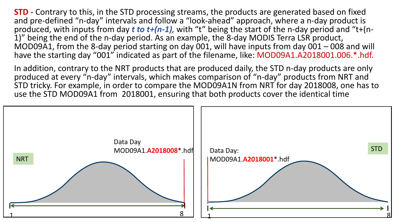**STD -** Contrary to this, in the STD processing streams, the products are generated based on fixed and pre-defined "n-day" intervals and follow a "look-ahead" approach, where a n-day product is produced, with inputs from day *t to t+(n-1)*, with "t" being the start of the n-day period and "t+(n-<br>1)" being the end of the n-day period. As an example, the 8-day MODIS Terra LSR product, MOD09A1, from the 8-day period starting on day 001, will have inputs from day 001 – 008 and will have the starting day "001" indicated as part of the filename, like: MOD09A1.A2018001.006.\*.hdf.

In addition, contrary to the NRT products that are produced daily, the STD n-day products are only produced at every "n-day" intervals, which makes comparison of "n-day" products from NRT and STD tricky. For example, in order to compare the MOD09A1N from NRT for day 2018008, one has to use the STD MOD09A1 from 2018001, ensuring that both products cover the identical time